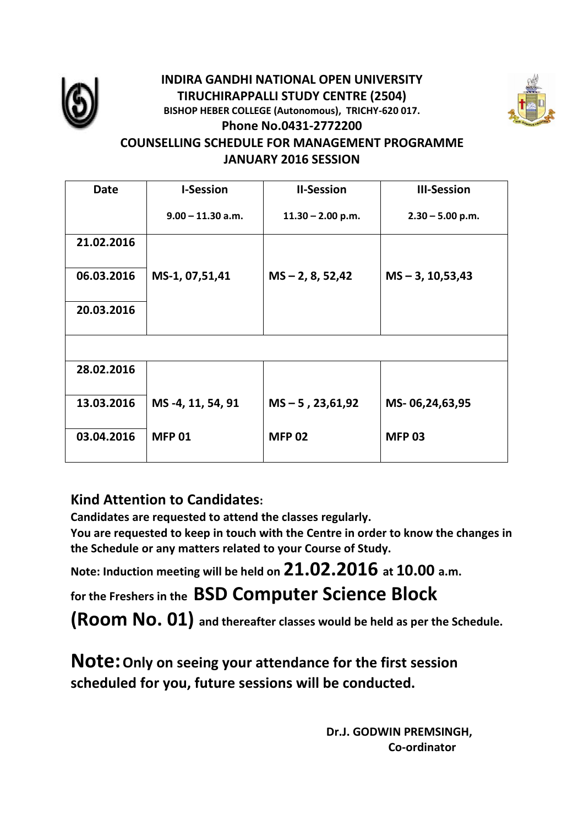

# **INDIRA GANDHI NATIONAL OPEN UNIVERSITY TIRUCHIRAPPALLI STUDY CENTRE (2504) BISHOP HEBER COLLEGE (Autonomous), TRICHY-620 017. Phone No.0431-2772200**



## **COUNSELLING SCHEDULE FOR MANAGEMENT PROGRAMME JANUARY 2016 SESSION**

| Date       | <b>I-Session</b>    | <b>II-Session</b>   | <b>III-Session</b>   |
|------------|---------------------|---------------------|----------------------|
|            | $9.00 - 11.30$ a.m. | $11.30 - 2.00$ p.m. | $2.30 - 5.00$ p.m.   |
| 21.02.2016 |                     |                     |                      |
| 06.03.2016 | MS-1, 07,51,41      | $MS - 2, 8, 52, 42$ | $MS - 3, 10, 53, 43$ |
| 20.03.2016 |                     |                     |                      |
|            |                     |                     |                      |
| 28.02.2016 |                     |                     |                      |
| 13.03.2016 | MS -4, 11, 54, 91   | $MS - 5$ , 23,61,92 | MS-06,24,63,95       |
| 03.04.2016 | <b>MFP 01</b>       | <b>MFP 02</b>       | <b>MFP 03</b>        |

# **Kind Attention to Candidates:**

**Candidates are requested to attend the classes regularly.**

**You are requested to keep in touch with the Centre in order to know the changes in the Schedule or any matters related to your Course of Study.**

**Note: Induction meeting will be held on 21.02.2016 at 10.00 a.m.** 

**for the Freshers in the BSD Computer Science Block** 

**(Room No. 01) and thereafter classes would be held as per the Schedule.**

**Note:Only on seeing your attendance for the first session scheduled for you, future sessions will be conducted.**

> **Dr.J. GODWIN PREMSINGH, Co-ordinator**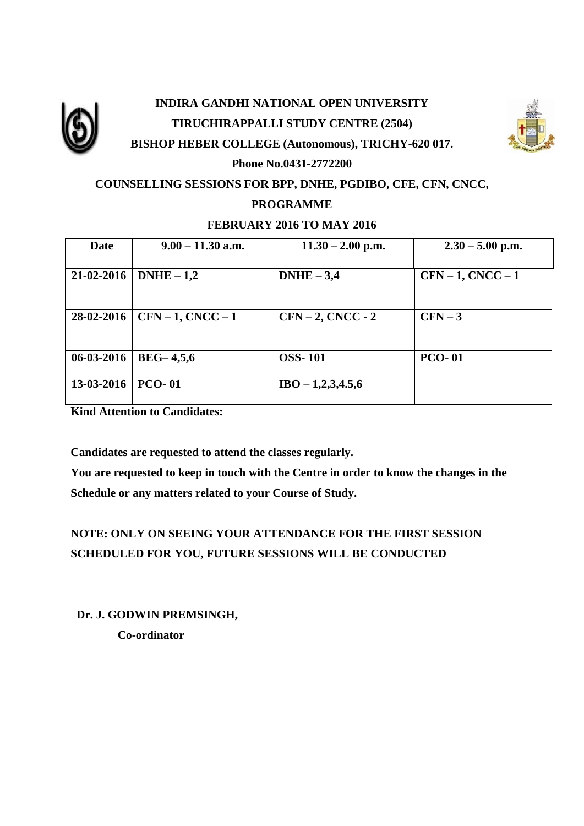

# **INDIRA GANDHI NATIONAL OPEN UNIVERSITY TIRUCHIRAPPALLI STUDY CENTRE (2504) BISHOP HEBER COLLEGE (Autonomous), TRICHY-620 017.**



## **Phone No.0431-2772200 COUNSELLING SESSIONS FOR BPP, DNHE, PGDIBO, CFE, CFN, CNCC,**

#### **PROGRAMME**

#### **FEBRUARY 2016 TO MAY 2016**

| <b>Date</b> | $9.00 - 11.30$ a.m. | $11.30 - 2.00$ p.m. | $2.30 - 5.00$ p.m. |
|-------------|---------------------|---------------------|--------------------|
| 21-02-2016  | $DNHE - 1,2$        | $DNHE - 3,4$        | $CFN-1$ , $CNCC-1$ |
| 28-02-2016  | $CFN-1, CNCC-1$     | $CFN-2$ , $CNCC-2$  | $CFN-3$            |
| 06-03-2016  | $BEG-4,5,6$         | <b>OSS-101</b>      | <b>PCO-01</b>      |
| 13-03-2016  | <b>PCO-01</b>       | $IBO - 1,2,3,4.5,6$ |                    |

**Kind Attention to Candidates:**

**Candidates are requested to attend the classes regularly.**

**You are requested to keep in touch with the Centre in order to know the changes in the Schedule or any matters related to your Course of Study.**

## **NOTE: ONLY ON SEEING YOUR ATTENDANCE FOR THE FIRST SESSION SCHEDULED FOR YOU, FUTURE SESSIONS WILL BE CONDUCTED**

 **Dr. J. GODWIN PREMSINGH,** 

 **Co-ordinator**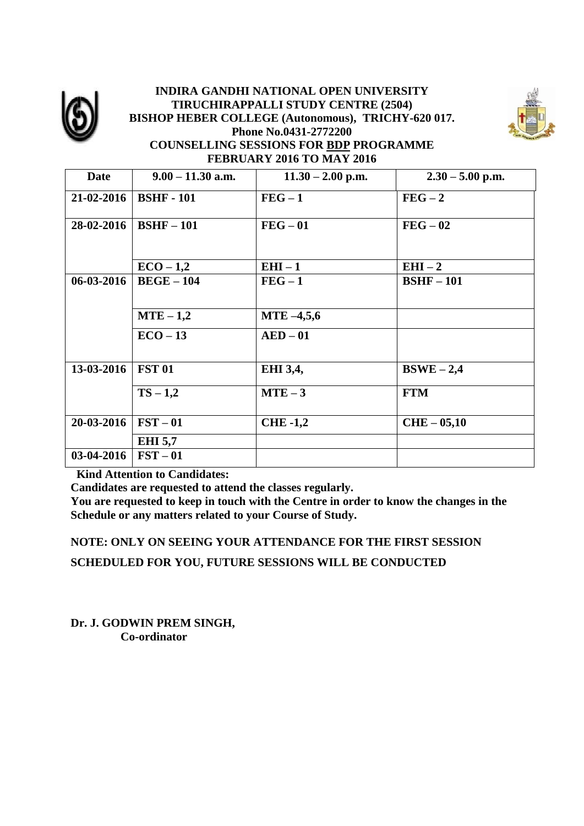

#### **INDIRA GANDHI NATIONAL OPEN UNIVERSITY TIRUCHIRAPPALLI STUDY CENTRE (2504) BISHOP HEBER COLLEGE (Autonomous), TRICHY-620 017. Phone No.0431-2772200 COUNSELLING SESSIONS FOR BDP PROGRAMME FEBRUARY 2016 TO MAY 2016**



| <b>Date</b> | $9.00 - 11.30$ a.m. | $11.30 - 2.00$ p.m. | $2.30 - 5.00$ p.m. |
|-------------|---------------------|---------------------|--------------------|
| 21-02-2016  | <b>BSHF</b> - 101   | $FEG-1$             | $FEG - 2$          |
| 28-02-2016  | $BSHF-101$          | $FEG - 01$          | $FEG - 02$         |
|             | $ECO-1,2$           | $EHI-1$             | $EHI-2$            |
| 06-03-2016  | $BEGE-104$          | $FEG - 1$           | $BSHF-101$         |
|             | $MTE-1,2$           | $MTE - 4,5,6$       |                    |
|             | $ECO-13$            | $AED-01$            |                    |
| 13-03-2016  | <b>FST 01</b>       | EHI 3,4,            | $BSWE - 2,4$       |
|             | $TS - 1,2$          | $MTE-3$             | <b>FTM</b>         |
| 20-03-2016  | $\textbf{FST}-01$   | <b>CHE-1,2</b>      | $CHE-05,10$        |
|             | <b>EHI</b> 5,7      |                     |                    |
| 03-04-2016  | $\textbf{FST}-01$   |                     |                    |

 **Kind Attention to Candidates:**

**Candidates are requested to attend the classes regularly.**

**You are requested to keep in touch with the Centre in order to know the changes in the Schedule or any matters related to your Course of Study.**

**NOTE: ONLY ON SEEING YOUR ATTENDANCE FOR THE FIRST SESSION SCHEDULED FOR YOU, FUTURE SESSIONS WILL BE CONDUCTED**

**Dr. J. GODWIN PREM SINGH, Co-ordinator**